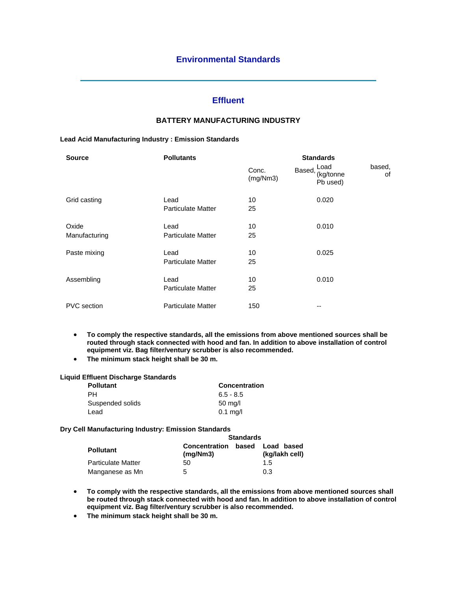## **Effluent**

# **BATTERY MANUFACTURING INDUSTRY**

#### **Lead Acid Manufacturing Industry : Emission Standards**

| <b>Source</b>      | <b>Pollutants</b>         | <b>Standards</b>  |        |                               |              |
|--------------------|---------------------------|-------------------|--------|-------------------------------|--------------|
|                    |                           | Conc.<br>(mg/Nm3) | Based, | Load<br>(kg/tonne<br>Pb used) | based,<br>οf |
| Grid casting       | Lead                      | 10                |        | 0.020                         |              |
|                    | <b>Particulate Matter</b> | 25                |        |                               |              |
| Oxide              | Lead                      | 10                |        | 0.010                         |              |
| Manufacturing      | <b>Particulate Matter</b> | 25                |        |                               |              |
| Paste mixing       | Lead                      | 10                |        | 0.025                         |              |
|                    | <b>Particulate Matter</b> | 25                |        |                               |              |
| Assembling         | Lead                      | 10                |        | 0.010                         |              |
|                    | <b>Particulate Matter</b> | 25                |        |                               |              |
| <b>PVC</b> section | <b>Particulate Matter</b> | 150               |        | --                            |              |

- **To comply the respective standards, all the emissions from above mentioned sources shall be routed through stack connected with hood and fan. In addition to above installation of control equipment viz. Bag filter/ventury scrubber is also recommended.**
- **The minimum stack height shall be 30 m.**

## **Liquid Effluent Discharge Standards**

| Concentration     |  |  |
|-------------------|--|--|
| $6.5 - 8.5$       |  |  |
| $50 \text{ mg/l}$ |  |  |
| $0.1$ mg/l        |  |  |
|                   |  |  |

#### **Dry Cell Manufacturing Industry: Emission Standards**

|                           | <b>Standards</b>                 |       |                              |  |
|---------------------------|----------------------------------|-------|------------------------------|--|
| <b>Pollutant</b>          | <b>Concentration</b><br>(mq/Nm3) | based | Load based<br>(kg/lakh cell) |  |
| <b>Particulate Matter</b> | 50                               |       | 1.5                          |  |
| Manganese as Mn           | 5                                |       | 0.3                          |  |

- **To comply with the respective standards, all the emissions from above mentioned sources shall be routed through stack connected with hood and fan. In addition to above installation of control equipment viz. Bag filter/ventury scrubber is also recommended.**
- **The minimum stack height shall be 30 m.**